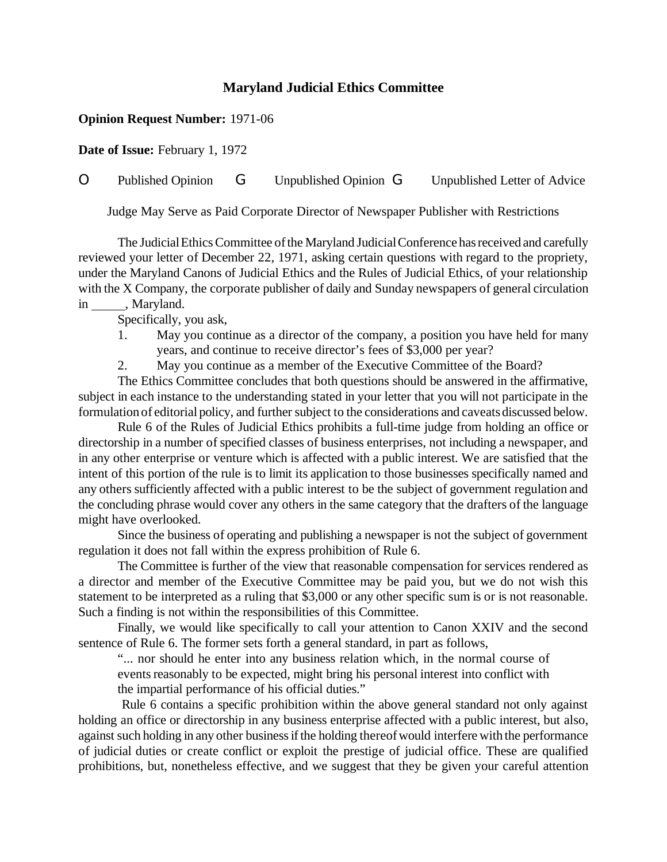## **Maryland Judicial Ethics Committee**

## **Opinion Request Number:** 1971-06

**Date of Issue:** February 1, 1972

O Published Opinion G Unpublished Opinion G Unpublished Letter of Advice

Judge May Serve as Paid Corporate Director of Newspaper Publisher with Restrictions

The Judicial Ethics Committee of the Maryland Judicial Conference has received and carefully reviewed your letter of December 22, 1971, asking certain questions with regard to the propriety, under the Maryland Canons of Judicial Ethics and the Rules of Judicial Ethics, of your relationship with the X Company, the corporate publisher of daily and Sunday newspapers of general circulation in \_\_\_\_\_\_, Maryland.

Specifically, you ask,

- 1. May you continue as a director of the company, a position you have held for many years, and continue to receive director's fees of \$3,000 per year?
- 2. May you continue as a member of the Executive Committee of the Board?

The Ethics Committee concludes that both questions should be answered in the affirmative, subject in each instance to the understanding stated in your letter that you will not participate in the formulation of editorial policy, and further subject to the considerations and caveats discussed below.

Rule 6 of the Rules of Judicial Ethics prohibits a full-time judge from holding an office or directorship in a number of specified classes of business enterprises, not including a newspaper, and in any other enterprise or venture which is affected with a public interest. We are satisfied that the intent of this portion of the rule is to limit its application to those businesses specifically named and any others sufficiently affected with a public interest to be the subject of government regulation and the concluding phrase would cover any others in the same category that the drafters of the language might have overlooked.

Since the business of operating and publishing a newspaper is not the subject of government regulation it does not fall within the express prohibition of Rule 6.

The Committee is further of the view that reasonable compensation for services rendered as a director and member of the Executive Committee may be paid you, but we do not wish this statement to be interpreted as a ruling that \$3,000 or any other specific sum is or is not reasonable. Such a finding is not within the responsibilities of this Committee.

Finally, we would like specifically to call your attention to Canon XXIV and the second sentence of Rule 6. The former sets forth a general standard, in part as follows,

"... nor should he enter into any business relation which, in the normal course of events reasonably to be expected, might bring his personal interest into conflict with the impartial performance of his official duties."

Rule 6 contains a specific prohibition within the above general standard not only against holding an office or directorship in any business enterprise affected with a public interest, but also, against such holding in any other businessifthe holding thereofwould interfere with the performance of judicial duties or create conflict or exploit the prestige of judicial office. These are qualified prohibitions, but, nonetheless effective, and we suggest that they be given your careful attention